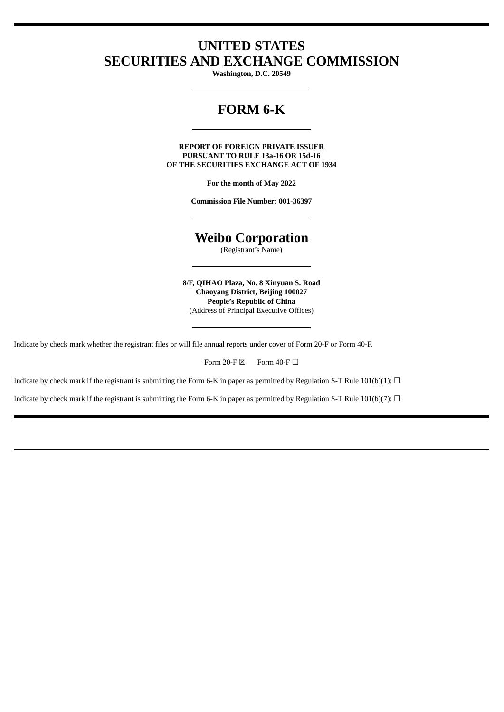## **UNITED STATES SECURITIES AND EXCHANGE COMMISSION**

**Washington, D.C. 20549**

## **FORM 6-K**

**REPORT OF FOREIGN PRIVATE ISSUER PURSUANT TO RULE 13a-16 OR 15d-16 OF THE SECURITIES EXCHANGE ACT OF 1934**

**For the month of May 2022**

**Commission File Number: 001-36397**

# **Weibo Corporation**

(Registrant's Name)

**8/F, QIHAO Plaza, No. 8 Xinyuan S. Road Chaoyang District, Beijing 100027 People's Republic of China** (Address of Principal Executive Offices)

Indicate by check mark whether the registrant files or will file annual reports under cover of Form 20-F or Form 40-F.

Form 20-F  $\boxtimes$  Form 40-F  $\Box$ 

Indicate by check mark if the registrant is submitting the Form 6-K in paper as permitted by Regulation S-T Rule 101(b)(1):  $\Box$ 

Indicate by check mark if the registrant is submitting the Form 6-K in paper as permitted by Regulation S-T Rule 101(b)(7):  $\Box$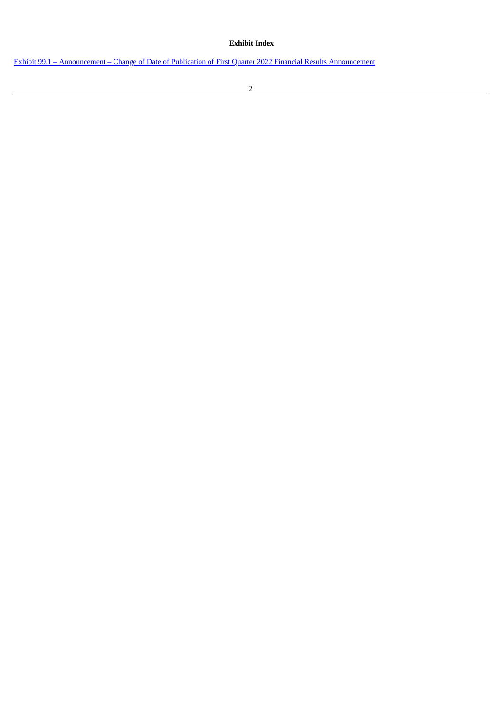#### **Exhibit Index**

Exhibit 99.1 – [Announcement](#page-3-0) – Change of Date of Publication of First Quarter 2022 Financial Results Announcement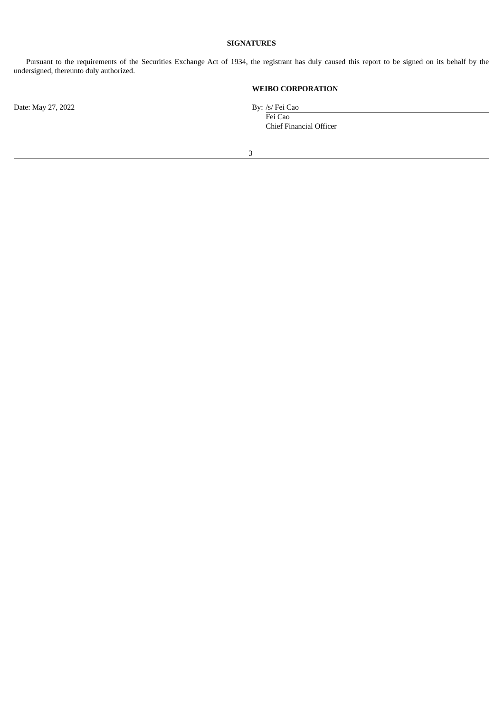#### **SIGNATURES**

Pursuant to the requirements of the Securities Exchange Act of 1934, the registrant has duly caused this report to be signed on its behalf by the undersigned, thereunto duly authorized.

### **WEIBO CORPORATION**

Fei Cao Chief Financial Officer

Date: May 27, 2022 By: /s/ Fei Cao